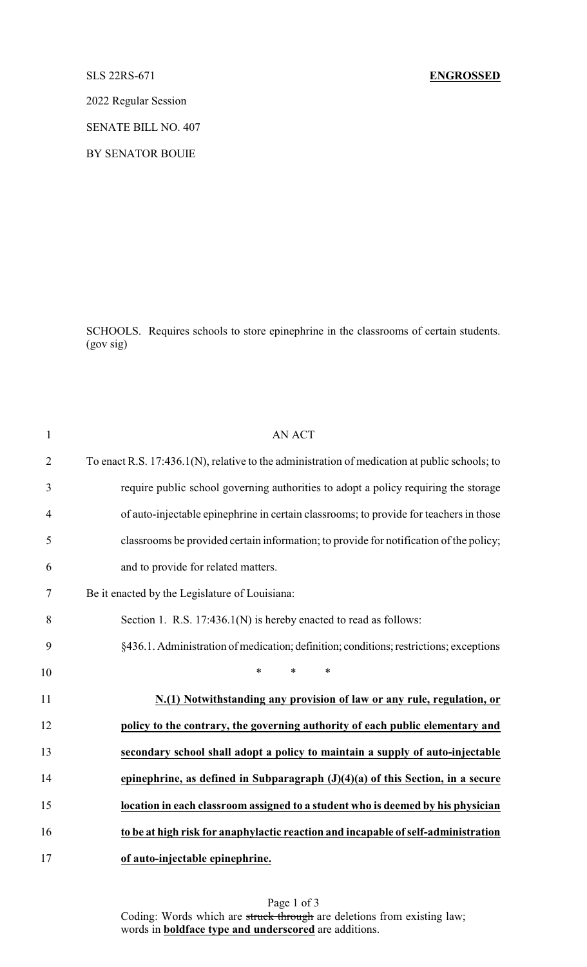## SLS 22RS-671 **ENGROSSED**

2022 Regular Session

SENATE BILL NO. 407

BY SENATOR BOUIE

SCHOOLS. Requires schools to store epinephrine in the classrooms of certain students. (gov sig)

| $\mathbf{1}$   | <b>AN ACT</b>                                                                                 |
|----------------|-----------------------------------------------------------------------------------------------|
| $\overline{2}$ | To enact R.S. 17:436.1(N), relative to the administration of medication at public schools; to |
| 3              | require public school governing authorities to adopt a policy requiring the storage           |
| $\overline{4}$ | of auto-injectable epinephrine in certain classrooms; to provide for teachers in those        |
| 5              | classrooms be provided certain information; to provide for notification of the policy;        |
| 6              | and to provide for related matters.                                                           |
| 7              | Be it enacted by the Legislature of Louisiana:                                                |
| 8              | Section 1. R.S. $17:436.1(N)$ is hereby enacted to read as follows:                           |
| 9              | §436.1. Administration of medication; definition; conditions; restrictions; exceptions        |
| 10             | $\ast$<br>$\ast$<br>$\ast$                                                                    |
| 11             | N.(1) Notwithstanding any provision of law or any rule, regulation, or                        |
| 12             | policy to the contrary, the governing authority of each public elementary and                 |
| 13             | secondary school shall adopt a policy to maintain a supply of auto-injectable                 |
| 14             | epinephrine, as defined in Subparagraph $(J)(4)(a)$ of this Section, in a secure              |
| 15             | location in each classroom assigned to a student who is deemed by his physician               |
| 16             | to be at high risk for anaphylactic reaction and incapable of self-administration             |
| 17             | of auto-injectable epinephrine.                                                               |

Page 1 of 3 Coding: Words which are struck through are deletions from existing law; words in **boldface type and underscored** are additions.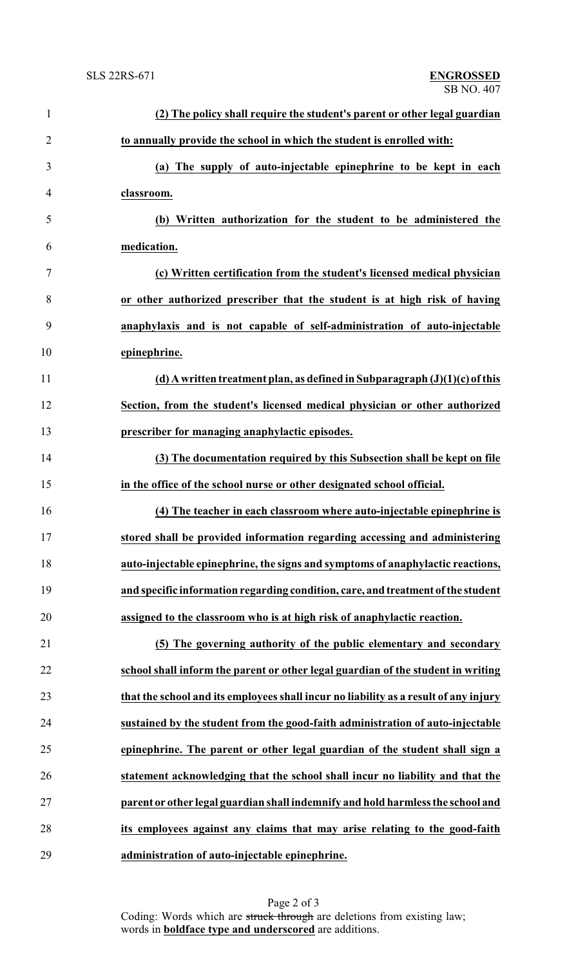| $\mathbf{1}$   | (2) The policy shall require the student's parent or other legal guardian            |
|----------------|--------------------------------------------------------------------------------------|
| $\overline{2}$ | to annually provide the school in which the student is enrolled with:                |
| 3              | (a) The supply of auto-injectable epinephrine to be kept in each                     |
| 4              | classroom.                                                                           |
| 5              | (b) Written authorization for the student to be administered the                     |
| 6              | medication.                                                                          |
| 7              | (c) Written certification from the student's licensed medical physician              |
| 8              | or other authorized prescriber that the student is at high risk of having            |
| 9              | anaphylaxis and is not capable of self-administration of auto-injectable             |
| 10             | epinephrine.                                                                         |
| 11             | (d) A written treatment plan, as defined in Subparagraph $(J)(1)(c)$ of this         |
| 12             | Section, from the student's licensed medical physician or other authorized           |
| 13             | prescriber for managing anaphylactic episodes.                                       |
| 14             | (3) The documentation required by this Subsection shall be kept on file              |
| 15             | in the office of the school nurse or other designated school official.               |
| 16             | (4) The teacher in each classroom where auto-injectable epinephrine is               |
| 17             | stored shall be provided information regarding accessing and administering           |
| 18             | auto-injectable epinephrine, the signs and symptoms of anaphylactic reactions,       |
| 19             | and specific information regarding condition, care, and treatment of the student     |
| 20             | assigned to the classroom who is at high risk of anaphylactic reaction.              |
| 21             | (5) The governing authority of the public elementary and secondary                   |
| 22             | school shall inform the parent or other legal guardian of the student in writing     |
| 23             | that the school and its employees shall incur no liability as a result of any injury |
| 24             | sustained by the student from the good-faith administration of auto-injectable       |
| 25             | epinephrine. The parent or other legal guardian of the student shall sign a          |
| 26             | statement acknowledging that the school shall incur no liability and that the        |
| 27             | parent or other legal guardian shall indemnify and hold harmless the school and      |
| 28             | its employees against any claims that may arise relating to the good-faith           |
| 29             | administration of auto-injectable epinephrine.                                       |